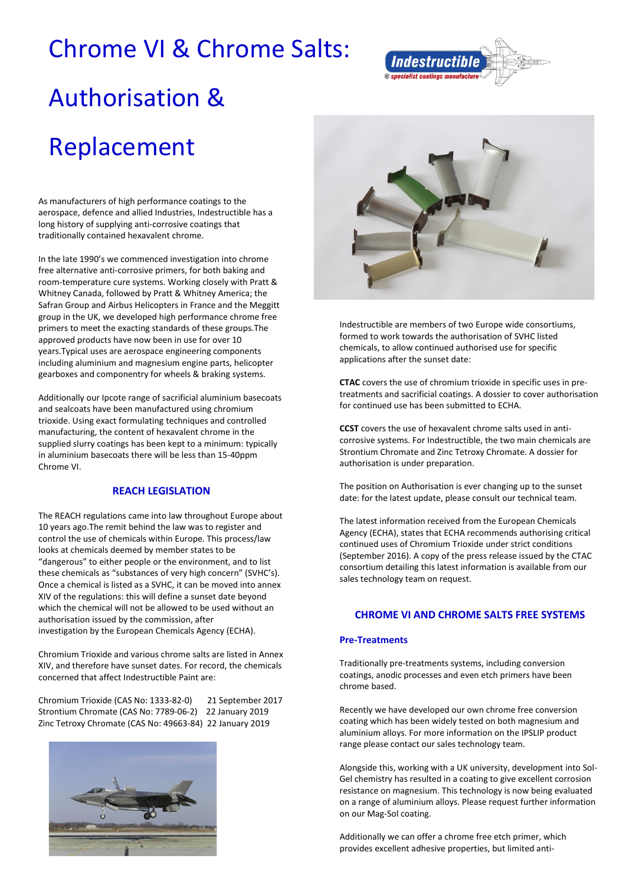## Chrome VI & Chrome Salts:



# Authorisation & Replacement

As manufacturers of high performance coatings to the aerospace, defence and allied Industries, Indestructible has a long history of supplying anti-corrosive coatings that traditionally contained hexavalent chrome.

In the late 1990's we commenced investigation into chrome free alternative anti-corrosive primers, for both baking and room-temperature cure systems. Working closely with Pratt & Whitney Canada, followed by Pratt & Whitney America; the Safran Group and Airbus Helicopters in France and the Meggitt group in the UK, we developed high performance chrome free primers to meet the exacting standards of these groups.The approved products have now been in use for over 10 years.Typical uses are aerospace engineering components including aluminium and magnesium engine parts, helicopter gearboxes and componentry for wheels & braking systems.

Additionally our Ipcote range of sacrificial aluminium basecoats and sealcoats have been manufactured using chromium trioxide. Using exact formulating techniques and controlled manufacturing, the content of hexavalent chrome in the supplied slurry coatings has been kept to a minimum: typically in aluminium basecoats there will be less than 15-40ppm Chrome VI.

#### **REACH LEGISLATION**

The REACH regulations came into law throughout Europe about 10 years ago.The remit behind the law was to register and control the use of chemicals within Europe. This process/law looks at chemicals deemed by member states to be "dangerous" to either people or the environment, and to list these chemicals as "substances of very high concern" (SVHC's). Once a chemical is listed as a SVHC, it can be moved into annex XIV of the regulations: this will define a sunset date beyond which the chemical will not be allowed to be used without an authorisation issued by the commission, after investigation by the European Chemicals Agency (ECHA).

Chromium Trioxide and various chrome salts are listed in Annex XIV, and therefore have sunset dates. For record, the chemicals concerned that affect Indestructible Paint are:

Chromium Trioxide (CAS No: 1333-82-0) 21 September 2017 Strontium Chromate (CAS No: 7789-06-2) 22 January 2019 Zinc Tetroxy Chromate (CAS No: 49663-84) 22 January 2019





Indestructible are members of two Europe wide consortiums, formed to work towards the authorisation of SVHC listed chemicals, to allow continued authorised use for specific applications after the sunset date:

**CTAC** covers the use of chromium trioxide in specific uses in pretreatments and sacrificial coatings. A dossier to cover authorisation for continued use has been submitted to ECHA.

**CCST** covers the use of hexavalent chrome salts used in anticorrosive systems. For Indestructible, the two main chemicals are Strontium Chromate and Zinc Tetroxy Chromate. A dossier for authorisation is under preparation.

The position on Authorisation is ever changing up to the sunset date: for the latest update, please consult our technical team.

The latest information received from the European Chemicals Agency (ECHA), states that ECHA recommends authorising critical continued uses of Chromium Trioxide under strict conditions (September 2016). A copy of the press release issued by the CTAC consortium detailing this latest information is available from our sales technology team on request.

### **CHROME VI AND CHROME SALTS FREE SYSTEMS**

#### **Pre-Treatments**

Traditionally pre-treatments systems, including conversion coatings, anodic processes and even etch primers have been chrome based.

Recently we have developed our own chrome free conversion coating which has been widely tested on both magnesium and aluminium alloys. For more information on the IPSLIP product range please contact our sales technology team.

Alongside this, working with a UK university, development into Sol-Gel chemistry has resulted in a coating to give excellent corrosion resistance on magnesium. This technology is now being evaluated on a range of aluminium alloys. Please request further information on our Mag-Sol coating.

Additionally we can offer a chrome free etch primer, which provides excellent adhesive properties, but limited anti